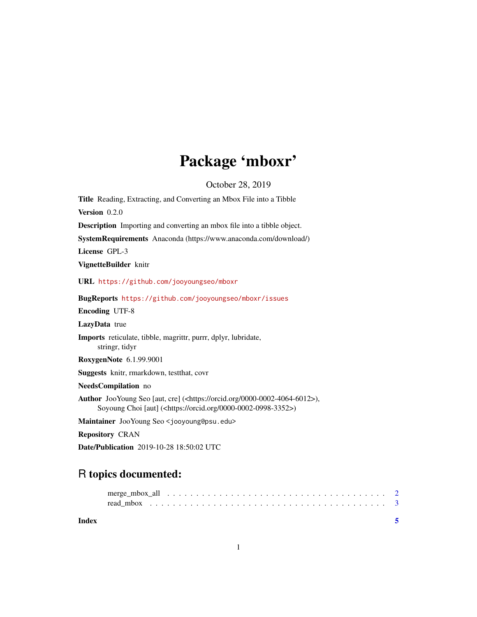## Package 'mboxr'

October 28, 2019

<span id="page-0-0"></span>Title Reading, Extracting, and Converting an Mbox File into a Tibble Version 0.2.0 Description Importing and converting an mbox file into a tibble object. SystemRequirements Anaconda (https://www.anaconda.com/download/) License GPL-3 VignetteBuilder knitr URL <https://github.com/jooyoungseo/mboxr> BugReports <https://github.com/jooyoungseo/mboxr/issues> Encoding UTF-8 LazyData true Imports reticulate, tibble, magrittr, purrr, dplyr, lubridate, stringr, tidyr RoxygenNote 6.1.99.9001 Suggests knitr, rmarkdown, testthat, covr NeedsCompilation no Author JooYoung Seo [aut, cre] (<https://orcid.org/0000-0002-4064-6012>), Soyoung Choi [aut] (<https://orcid.org/0000-0002-0998-3352>) Maintainer JooYoung Seo <jooyoung@psu.edu> Repository CRAN Date/Publication 2019-10-28 18:50:02 UTC

### R topics documented:

**Index** [5](#page-4-0). The second state of the second state of the second state of the second state of the second state of the second state of the second state of the second state of the second state of the second state of the second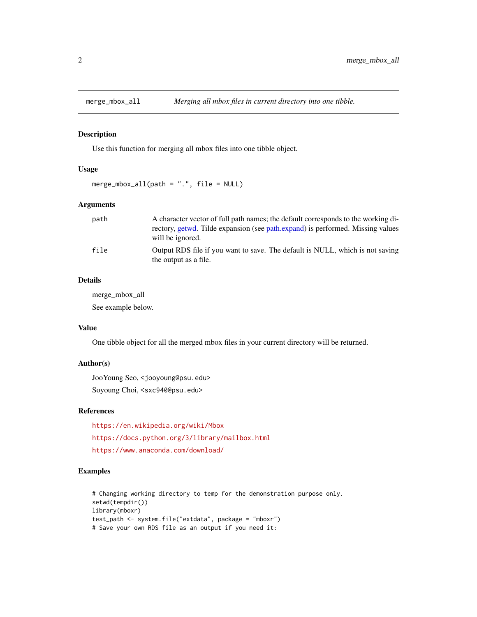<span id="page-1-0"></span>

#### Description

Use this function for merging all mbox files into one tibble object.

#### Usage

```
merge_mbox_all(path = ".", file = NULL)
```
#### Arguments

| path | A character vector of full path names; the default corresponds to the working di-                      |
|------|--------------------------------------------------------------------------------------------------------|
|      | rectory, getwd. Tilde expansion (see path.expand) is performed. Missing values<br>will be ignored.     |
| file | Output RDS file if you want to save. The default is NULL, which is not saving<br>the output as a file. |

#### Details

merge\_mbox\_all See example below.

#### Value

One tibble object for all the merged mbox files in your current directory will be returned.

#### Author(s)

JooYoung Seo, <jooyoung@psu.edu> Soyoung Choi, <sxc940@psu.edu>

#### References

<https://en.wikipedia.org/wiki/Mbox> <https://docs.python.org/3/library/mailbox.html> <https://www.anaconda.com/download/>

#### Examples

```
# Changing working directory to temp for the demonstration purpose only.
setwd(tempdir())
library(mboxr)
test_path <- system.file("extdata", package = "mboxr")
# Save your own RDS file as an output if you need it:
```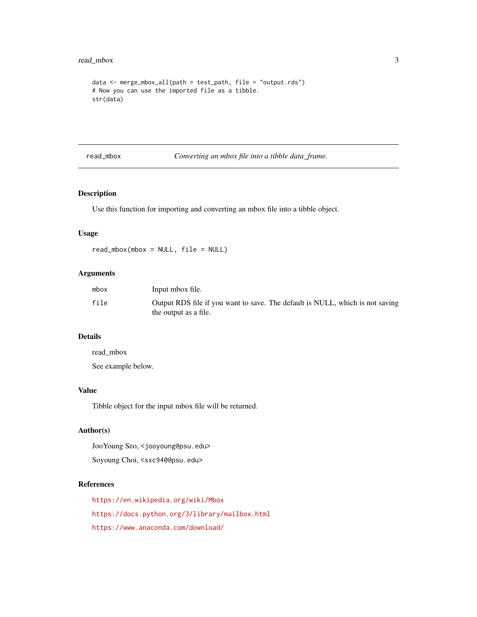#### <span id="page-2-0"></span>read\_mbox 3

```
data <- merge_mbox_all(path = test_path, file = "output.rds")
# Now you can use the imported file as a tibble.
str(data)
```
read\_mbox *Converting an mbox file into a tibble data\_frame.*

#### Description

Use this function for importing and converting an mbox file into a tibble object.

#### Usage

read\_mbox(mbox = NULL, file = NULL)

#### Arguments

| mbox | Input mbox file.                                                              |
|------|-------------------------------------------------------------------------------|
| file | Output RDS file if you want to save. The default is NULL, which is not saving |
|      | the output as a file.                                                         |

#### Details

read\_mbox

See example below.

#### Value

Tibble object for the input mbox file will be returned.

#### Author(s)

JooYoung Seo, <jooyoung@psu.edu>

Soyoung Choi, <sxc940@psu.edu>

#### References

<https://en.wikipedia.org/wiki/Mbox> <https://docs.python.org/3/library/mailbox.html> <https://www.anaconda.com/download/>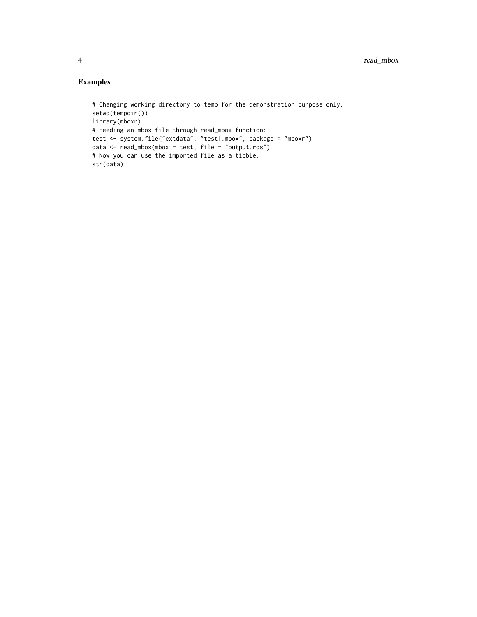#### Examples

```
# Changing working directory to temp for the demonstration purpose only.
setwd(tempdir())
library(mboxr)
# Feeding an mbox file through read_mbox function:
test <- system.file("extdata", "test1.mbox", package = "mboxr")
data <- read_mbox(mbox = test, file = "output.rds")
# Now you can use the imported file as a tibble.
str(data)
```